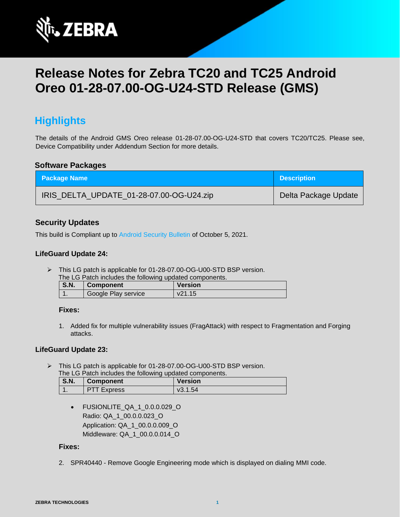

# **Release Notes for Zebra TC20 and TC25 Android Oreo 01-28-07.00-OG-U24-STD Release (GMS)**

## **Highlights**

The details of the Android GMS Oreo release 01-28-07.00-OG-U24-STD that covers TC20/TC25. Please see, Device Compatibility under Addendum Section for more details.

#### **Software Packages**

| <b>Package Name</b>                      | <b>Description</b>   |
|------------------------------------------|----------------------|
| IRIS_DELTA_UPDATE_01-28-07.00-OG-U24.zip | Delta Package Update |

### **Security Updates**

This build is Compliant up to [Android Security Bulletin](https://source.android.com/security/bulletin/) of October 5, 2021.

#### **LifeGuard Update 24:**

➢ This LG patch is applicable for 01-28-07.00-OG-U00-STD BSP version.

|              | The LG Patch includes the following updated components. |                |
|--------------|---------------------------------------------------------|----------------|
| $\sqrt{2}$ N | $\Gamma$ $\Gamma$ $\Gamma$ $\Gamma$                     | <b>Norcion</b> |

| S.N. | <b>Component</b>    | <b>Version</b> |
|------|---------------------|----------------|
|      | Google Play service | v21.15         |

#### **Fixes:**

1. Added fix for multiple vulnerability issues (FragAttack) with respect to Fragmentation and Forging attacks.

#### **LifeGuard Update 23:**

➢ This LG patch is applicable for 01-28-07.00-OG-U00-STD BSP version. The LG Patch includes the following updated components.

| <b>S.N.</b> | <b>Component</b>   | <b>Version</b> |
|-------------|--------------------|----------------|
|             | <b>PTT Express</b> | v3.1.54        |

• FUSIONLITE\_QA\_1\_0.0.0.029\_O Radio: QA\_1\_00.0.0.023\_O Application: QA\_1\_00.0.0.009\_O Middleware: QA\_1\_00.0.0.014\_O

#### **Fixes:**

2. SPR40440 - Remove Google Engineering mode which is displayed on dialing MMI code.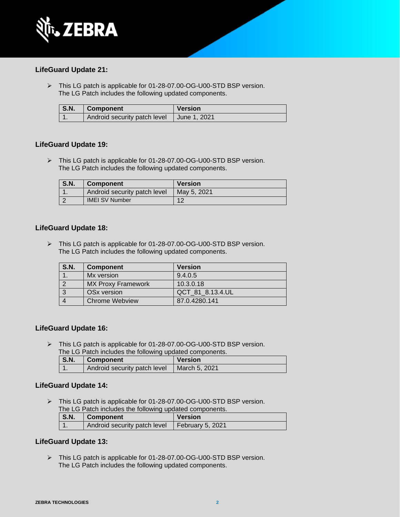

#### **LifeGuard Update 21:**

➢ This LG patch is applicable for 01-28-07.00-OG-U00-STD BSP version. The LG Patch includes the following updated components.

| $\mathsf{S}.\mathsf{N}.\mathsf{N}$ | Component                                   | <b>Version</b> |
|------------------------------------|---------------------------------------------|----------------|
|                                    | Android security patch level   June 1, 2021 |                |

#### **LifeGuard Update 19:**

➢ This LG patch is applicable for 01-28-07.00-OG-U00-STD BSP version. The LG Patch includes the following updated components.

| <b>S.N.</b> | <b>Component</b>             | <b>Version</b> |
|-------------|------------------------------|----------------|
|             | Android security patch level | May 5, 2021    |
|             | <b>IMEI SV Number</b>        | $1^{\circ}$    |

#### **LifeGuard Update 18:**

➢ This LG patch is applicable for 01-28-07.00-OG-U00-STD BSP version. The LG Patch includes the following updated components.

| <b>S.N.</b> | <b>Component</b>          | <b>Version</b>   |
|-------------|---------------------------|------------------|
|             | Mx version                | 9.4.0.5          |
|             | <b>MX Proxy Framework</b> | 10.3.0.18        |
|             | OS <sub>x</sub> version   | QCT 81 8.13.4.UL |
|             | <b>Chrome Webview</b>     | 87.0.4280.141    |

#### **LifeGuard Update 16:**

➢ This LG patch is applicable for 01-28-07.00-OG-U00-STD BSP version. The LG Patch includes the following updated components.

| <b>S.N.</b> | Component                    | <b>Version</b> |
|-------------|------------------------------|----------------|
|             | Android security patch level | March 5, 2021  |

#### **LifeGuard Update 14:**

➢ This LG patch is applicable for 01-28-07.00-OG-U00-STD BSP version. The LG Patch includes the following updated components.

| <b>S.N.</b> | Component                                       | <b>Version</b> |
|-------------|-------------------------------------------------|----------------|
|             | Android security patch level   February 5, 2021 |                |

#### **LifeGuard Update 13:**

➢ This LG patch is applicable for 01-28-07.00-OG-U00-STD BSP version. The LG Patch includes the following updated components.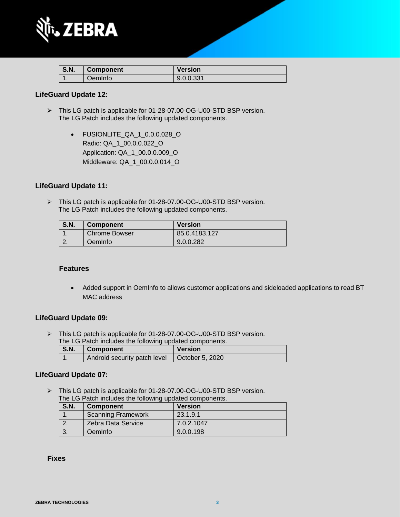

| $^{\circ}$ S.N. | <b>Component</b> | <b>Version</b> |
|-----------------|------------------|----------------|
|                 | OemInfo          | 9.0.0.331      |

#### **LifeGuard Update 12:**

- ➢ This LG patch is applicable for 01-28-07.00-OG-U00-STD BSP version. The LG Patch includes the following updated components.
	- FUSIONLITE\_QA\_1\_0.0.0.028\_O Radio: QA\_1\_00.0.0.022\_O Application: QA\_1\_00.0.0.009\_O Middleware: QA\_1\_00.0.0.014\_O

#### **LifeGuard Update 11:**

➢ This LG patch is applicable for 01-28-07.00-OG-U00-STD BSP version. The LG Patch includes the following updated components.

| <b>S.N.</b> | <b>Component</b>     | <b>Version</b> |
|-------------|----------------------|----------------|
|             | <b>Chrome Bowser</b> | 85.0.4183.127  |
|             | Oemlnfo              | 9.0.0.282      |

#### **Features**

• Added support in OemInfo to allows customer applications and sideloaded applications to read BT MAC address

#### **LifeGuard Update 09:**

➢ This LG patch is applicable for 01-28-07.00-OG-U00-STD BSP version. The LG Patch includes the following updated components.

| $\overline{S}$ .N. | <b>Component</b>             | <b>Version</b>          |
|--------------------|------------------------------|-------------------------|
|                    | Android security patch level | $\vert$ October 5, 2020 |

#### **LifeGuard Update 07:**

➢ This LG patch is applicable for 01-28-07.00-OG-U00-STD BSP version. The LG Patch includes the following updated components.

| <b>S.N.</b> | <b>Component</b>          | <b>Version</b> |
|-------------|---------------------------|----------------|
|             | <b>Scanning Framework</b> | 23.1.9.1       |
|             | Zebra Data Service        | 7.0.2.1047     |
|             | OemInfo                   | 9.0.0.198      |

 **Fixes**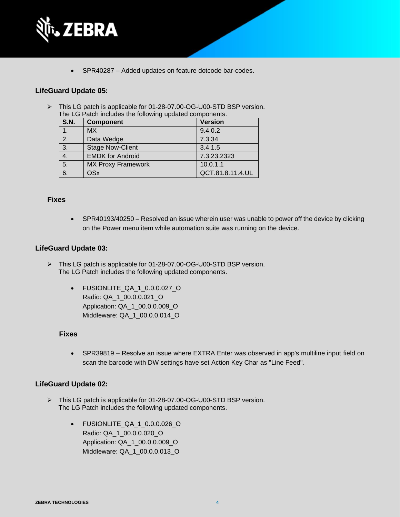

• SPR40287 – Added updates on feature dotcode bar-codes.

#### **LifeGuard Update 05:**

➢ This LG patch is applicable for 01-28-07.00-OG-U00-STD BSP version. The LG Patch includes the following updated components.

| <b>S.N.</b>      | <b>Component</b>          | <b>Version</b>   |
|------------------|---------------------------|------------------|
|                  | <b>MX</b>                 | 9.4.0.2          |
| $\overline{2}$ . | Data Wedge                | 7.3.34           |
| $\overline{3}$ . | <b>Stage Now-Client</b>   | 3.4.1.5          |
| 4.               | <b>EMDK for Android</b>   | 7.3.23.2323      |
| $\overline{5}$ . | <b>MX Proxy Framework</b> | 10.0.1.1         |
| 6.               | <b>OSx</b>                | QCT.81.8.11.4.UL |

#### **Fixes**

• SPR40193/40250 – Resolved an issue wherein user was unable to power off the device by clicking on the Power menu item while automation suite was running on the device.

#### **LifeGuard Update 03:**

- ➢ This LG patch is applicable for 01-28-07.00-OG-U00-STD BSP version. The LG Patch includes the following updated components.
	- FUSIONLITE\_QA\_1\_0.0.0.027\_O Radio: QA\_1\_00.0.0.021\_O Application: QA\_1\_00.0.0.009\_O Middleware: QA\_1\_00.0.0.014\_O

#### **Fixes**

• SPR39819 – Resolve an issue where EXTRA Enter was observed in app's multiline input field on scan the barcode with DW settings have set Action Key Char as "Line Feed".

#### **LifeGuard Update 02:**

- ➢ This LG patch is applicable for 01-28-07.00-OG-U00-STD BSP version. The LG Patch includes the following updated components.
	- FUSIONLITE\_QA\_1\_0.0.0.026\_O Radio: QA\_1\_00.0.0.020\_O Application: QA\_1\_00.0.0.009\_O Middleware: QA\_1\_00.0.0.013\_O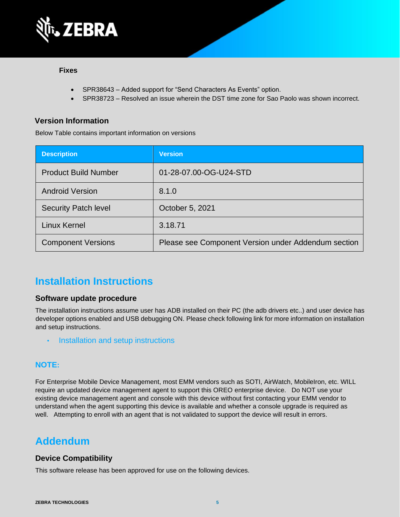

#### **Fixes**

- SPR38643 Added support for "Send Characters As Events" option.
- SPR38723 Resolved an issue wherein the DST time zone for Sao Paolo was shown incorrect.

### **Version Information**

Below Table contains important information on versions

| <b>Description</b>          | <b>Version</b>                                      |
|-----------------------------|-----------------------------------------------------|
| <b>Product Build Number</b> | 01-28-07.00-OG-U24-STD                              |
| <b>Android Version</b>      | 8.1.0                                               |
| <b>Security Patch level</b> | October 5, 2021                                     |
| Linux Kernel                | 3.18.71                                             |
| <b>Component Versions</b>   | Please see Component Version under Addendum section |

## **Installation Instructions**

#### **Software update procedure**

The installation instructions assume user has ADB installed on their PC (the adb drivers etc..) and user device has developer options enabled and USB debugging ON. Please check following link for more information on installation and setup instructions.

• [Installation and setup instructions](https://www.zebra.com/content/dam/zebra_new_ia/en-us/software/operating-system/tc20-operating-system/Android-O-OS-Update-TC20-and-TC25-GMS.pdf)

### **NOTE:**

For Enterprise Mobile Device Management, most EMM vendors such as SOTI, AirWatch, MobileIron, etc. WILL require an updated device management agent to support this OREO enterprise device. Do NOT use your existing device management agent and console with this device without first contacting your EMM vendor to understand when the agent supporting this device is available and whether a console upgrade is required as well. Attempting to enroll with an agent that is not validated to support the device will result in errors.

## **Addendum**

### **Device Compatibility**

This software release has been approved for use on the following devices.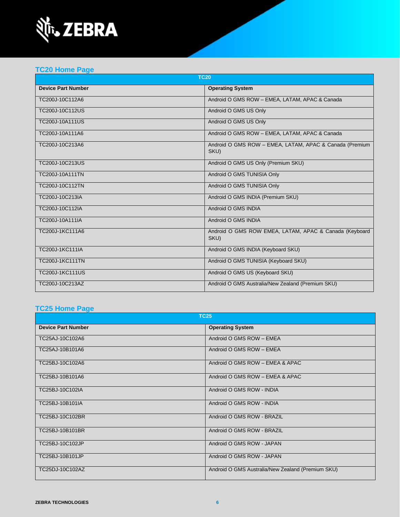

## **[TC20 Home Page](https://www.zebra.com/us/en/support-downloads/software/operating-system/tc20-operating-system.html)**

| <b>TC20</b>               |                                                                 |  |
|---------------------------|-----------------------------------------------------------------|--|
| <b>Device Part Number</b> | <b>Operating System</b>                                         |  |
| TC200J-10C112A6           | Android O GMS ROW - EMEA, LATAM, APAC & Canada                  |  |
| TC200J-10C112US           | Android O GMS US Only                                           |  |
| <b>TC200J-10A111US</b>    | Android O GMS US Only                                           |  |
| TC200J-10A111A6           | Android O GMS ROW - EMEA, LATAM, APAC & Canada                  |  |
| TC200J-10C213A6           | Android O GMS ROW - EMEA, LATAM, APAC & Canada (Premium<br>SKU) |  |
| TC200J-10C213US           | Android O GMS US Only (Premium SKU)                             |  |
| <b>TC200J-10A111TN</b>    | Android O GMS TUNISIA Only                                      |  |
| TC200J-10C112TN           | Android O GMS TUNISIA Only                                      |  |
| TC200J-10C213IA           | Android O GMS INDIA (Premium SKU)                               |  |
| TC200J-10C112IA           | Android O GMS INDIA                                             |  |
| TC200J-10A111IA           | Android O GMS INDIA                                             |  |
| TC200J-1KC111A6           | Android O GMS ROW EMEA, LATAM, APAC & Canada (Keyboard<br>SKU)  |  |
| TC200J-1KC111IA           | Android O GMS INDIA (Keyboard SKU)                              |  |
| <b>TC200J-1KC111TN</b>    | Android O GMS TUNISIA (Keyboard SKU)                            |  |
| <b>TC200J-1KC111US</b>    | Android O GMS US (Keyboard SKU)                                 |  |
| TC200J-10C213AZ           | Android O GMS Australia/New Zealand (Premium SKU)               |  |

## **[TC25 Home Page](https://www.zebra.com/us/en/support-downloads/software/operating-system/tc25-operating-system.html)**

| <b>TC25</b>               |                                                   |  |
|---------------------------|---------------------------------------------------|--|
| <b>Device Part Number</b> | <b>Operating System</b>                           |  |
| TC25AJ-10C102A6           | Android O GMS ROW - EMEA                          |  |
| TC25AJ-10B101A6           | Android O GMS ROW - EMEA                          |  |
| TC25BJ-10C102A6           | Android O GMS ROW - EMEA & APAC                   |  |
| TC25BJ-10B101A6           | Android O GMS ROW - EMEA & APAC                   |  |
| TC25BJ-10C102IA           | Android O GMS ROW - INDIA                         |  |
| TC25BJ-10B101IA           | Android O GMS ROW - INDIA                         |  |
| TC25BJ-10C102BR           | Android O GMS ROW - BRAZIL                        |  |
| TC25BJ-10B101BR           | Android O GMS ROW - BRAZIL                        |  |
| TC25BJ-10C102JP           | Android O GMS ROW - JAPAN                         |  |
| TC25BJ-10B101JP           | Android O GMS ROW - JAPAN                         |  |
| TC25DJ-10C102AZ           | Android O GMS Australia/New Zealand (Premium SKU) |  |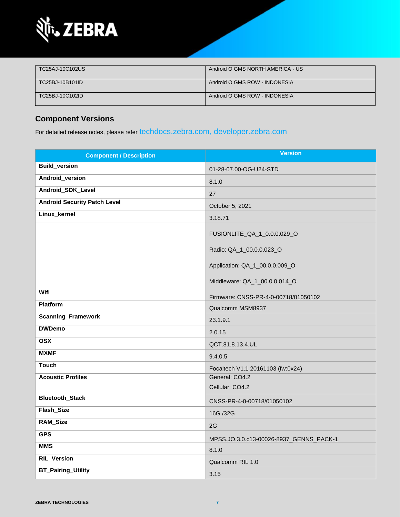

| TC25AJ-10C102US | Android O GMS NORTH AMERICA - US |
|-----------------|----------------------------------|
| TC25BJ-10B101ID | Android O GMS ROW - INDONESIA    |
| TC25BJ-10C102ID | Android O GMS ROW - INDONESIA    |

## **Component Versions**

For detailed release notes, please refer [techdocs.zebra.com,](https://techdocs.zebra.com/) [developer.zebra.com](https://developer.zebra.com/)

| <b>Component / Description</b>      | <b>Version</b>                                                                              |
|-------------------------------------|---------------------------------------------------------------------------------------------|
| <b>Build_version</b>                | 01-28-07.00-OG-U24-STD                                                                      |
| Android_version                     | 8.1.0                                                                                       |
| Android_SDK_Level                   | 27                                                                                          |
| <b>Android Security Patch Level</b> | October 5, 2021                                                                             |
| Linux_kernel                        | 3.18.71                                                                                     |
|                                     | FUSIONLITE_QA_1_0.0.0.029_O                                                                 |
|                                     | Radio: QA_1_00.0.0.023_O<br>Application: QA_1_00.0.0.009_O<br>Middleware: QA_1_00.0.0.014_O |
| Wifi                                |                                                                                             |
| <b>Platform</b>                     | Firmware: CNSS-PR-4-0-00718/01050102<br>Qualcomm MSM8937                                    |
| <b>Scanning_Framework</b>           | 23.1.9.1                                                                                    |
| <b>DWDemo</b>                       | 2.0.15                                                                                      |
| <b>OSX</b>                          | QCT.81.8.13.4.UL                                                                            |
| <b>MXMF</b>                         | 9.4.0.5                                                                                     |
| <b>Touch</b>                        | Focaltech V1.1 20161103 (fw:0x24)                                                           |
| <b>Acoustic Profiles</b>            | General: CO4.2<br>Cellular: CO4.2                                                           |
| <b>Bluetooth_Stack</b>              | CNSS-PR-4-0-00718/01050102                                                                  |
| Flash_Size                          | 16G /32G                                                                                    |
| <b>RAM_Size</b>                     | 2G                                                                                          |
| <b>GPS</b>                          | MPSS.JO.3.0.c13-00026-8937_GENNS_PACK-1                                                     |
| <b>MMS</b>                          | 8.1.0                                                                                       |
| <b>RIL_Version</b>                  | Qualcomm RIL 1.0                                                                            |
| <b>BT_Pairing_Utility</b>           | 3.15                                                                                        |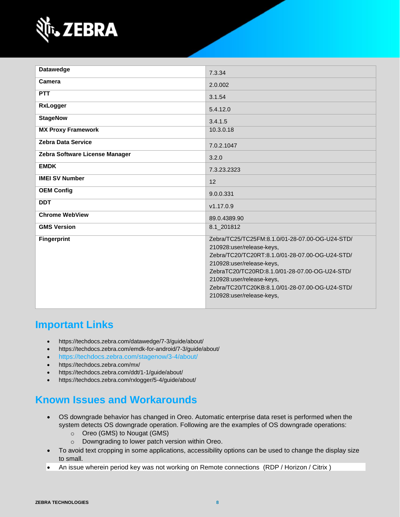

| <b>Datawedge</b>               | 7.3.34                                                                                                                                                                                                                                                                                                                      |
|--------------------------------|-----------------------------------------------------------------------------------------------------------------------------------------------------------------------------------------------------------------------------------------------------------------------------------------------------------------------------|
| Camera                         | 2.0.002                                                                                                                                                                                                                                                                                                                     |
| <b>PTT</b>                     | 3.1.54                                                                                                                                                                                                                                                                                                                      |
| <b>RxLogger</b>                | 5.4.12.0                                                                                                                                                                                                                                                                                                                    |
| <b>StageNow</b>                | 3.4.1.5                                                                                                                                                                                                                                                                                                                     |
| <b>MX Proxy Framework</b>      | 10.3.0.18                                                                                                                                                                                                                                                                                                                   |
| <b>Zebra Data Service</b>      | 7.0.2.1047                                                                                                                                                                                                                                                                                                                  |
| Zebra Software License Manager | 3.2.0                                                                                                                                                                                                                                                                                                                       |
| <b>EMDK</b>                    | 7.3.23.2323                                                                                                                                                                                                                                                                                                                 |
| <b>IMEI SV Number</b>          | 12                                                                                                                                                                                                                                                                                                                          |
| <b>OEM Config</b>              | 9.0.0.331                                                                                                                                                                                                                                                                                                                   |
| <b>DDT</b>                     | v1.17.0.9                                                                                                                                                                                                                                                                                                                   |
| <b>Chrome WebView</b>          | 89.0.4389.90                                                                                                                                                                                                                                                                                                                |
| <b>GMS Version</b>             | 8.1 201812                                                                                                                                                                                                                                                                                                                  |
| <b>Fingerprint</b>             | Zebra/TC25/TC25FM:8.1.0/01-28-07.00-OG-U24-STD/<br>210928:user/release-keys,<br>Zebra/TC20/TC20RT:8.1.0/01-28-07.00-OG-U24-STD/<br>210928:user/release-keys,<br>ZebraTC20/TC20RD:8.1.0/01-28-07.00-OG-U24-STD/<br>210928:user/release-keys,<br>Zebra/TC20/TC20KB:8.1.0/01-28-07.00-OG-U24-STD/<br>210928:user/release-keys, |

## **Important Links**

- <https://techdocs.zebra.com/datawedge/7-3/guide/about/>
- <https://techdocs.zebra.com/emdk-for-android/7-3/guide/about/>
- <https://techdocs.zebra.com/stagenow/3-4/about/>
- <https://techdocs.zebra.com/mx/>
- <https://techdocs.zebra.com/ddt/1-1/guide/about/>
- <https://techdocs.zebra.com/rxlogger/5-4/guide/about/>

## **Known Issues and Workarounds**

- OS downgrade behavior has changed in Oreo. Automatic enterprise data reset is performed when the system detects OS downgrade operation. Following are the examples of OS downgrade operations:
	- o Oreo (GMS) to Nougat (GMS)
	- o Downgrading to lower patch version within Oreo.
- To avoid text cropping in some applications, accessibility options can be used to change the display size to small.
- An issue wherein period key was not working on Remote connections (RDP / Horizon / Citrix )